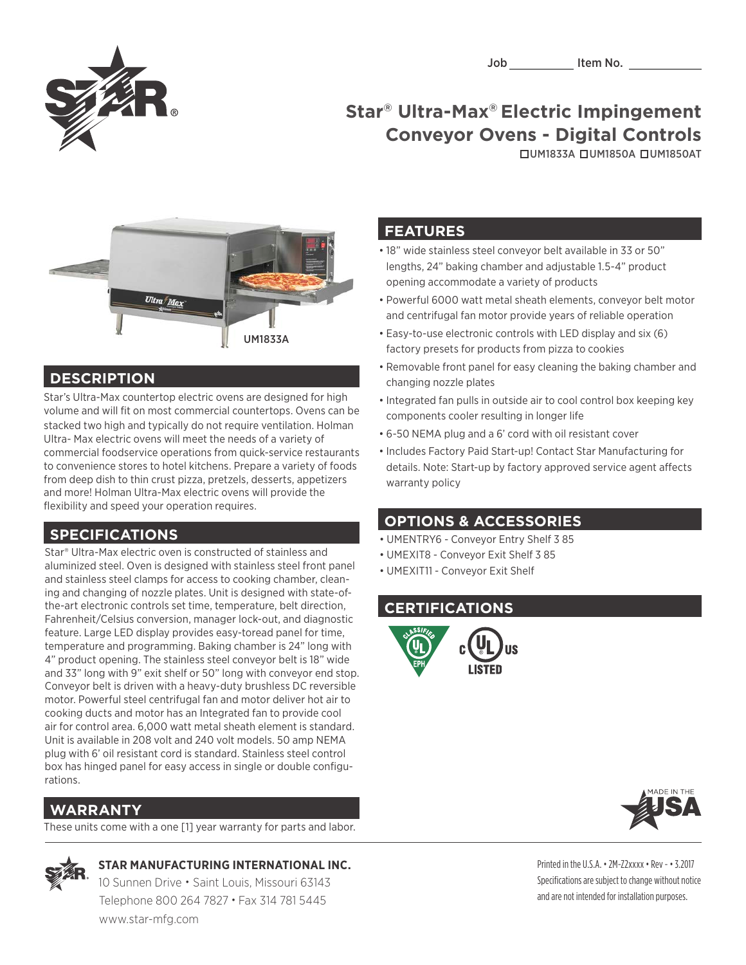

# **Star® Ultra-Max® Electric Impingement Conveyor Ovens - Digital Controls**

UM1833A UM1850A UM1850AT



#### **DESCRIPTION**

Star's Ultra-Max countertop electric ovens are designed for high volume and will fit on most commercial countertops. Ovens can be stacked two high and typically do not require ventilation. Holman Ultra- Max electric ovens will meet the needs of a variety of commercial foodservice operations from quick-service restaurants to convenience stores to hotel kitchens. Prepare a variety of foods from deep dish to thin crust pizza, pretzels, desserts, appetizers and more! Holman Ultra-Max electric ovens will provide the flexibility and speed your operation requires.

### **SPECIFICATIONS**

Star® Ultra-Max electric oven is constructed of stainless and aluminized steel. Oven is designed with stainless steel front panel and stainless steel clamps for access to cooking chamber, cleaning and changing of nozzle plates. Unit is designed with state-ofthe-art electronic controls set time, temperature, belt direction, Fahrenheit/Celsius conversion, manager lock-out, and diagnostic feature. Large LED display provides easy-toread panel for time, temperature and programming. Baking chamber is 24" long with 4" product opening. The stainless steel conveyor belt is 18" wide and 33" long with 9" exit shelf or 50" long with conveyor end stop. Conveyor belt is driven with a heavy-duty brushless DC reversible motor. Powerful steel centrifugal fan and motor deliver hot air to cooking ducts and motor has an Integrated fan to provide cool air for control area. 6,000 watt metal sheath element is standard. Unit is available in 208 volt and 240 volt models. 50 amp NEMA plug with 6' oil resistant cord is standard. Stainless steel control box has hinged panel for easy access in single or double configurations.

### **WARRANTY**

These units come with a one [1] year warranty for parts and labor.

#### **STAR MANUFACTURING INTERNATIONAL INC.**

 10 Sunnen Drive • Saint Louis, Missouri 63143 Telephone 800 264 7827 • Fax 314 781 5445 www.star-mfg.com

#### **FEATURES**

- 18" wide stainless steel conveyor belt available in 33 or 50" lengths, 24" baking chamber and adjustable 1.5-4" product opening accommodate a variety of products
- • Powerful 6000 watt metal sheath elements, conveyor belt motor and centrifugal fan motor provide years of reliable operation
- Easy-to-use electronic controls with LED display and six (6) factory presets for products from pizza to cookies
- Removable front panel for easy cleaning the baking chamber and changing nozzle plates
- Integrated fan pulls in outside air to cool control box keeping key components cooler resulting in longer life
- 6-50 NEMA plug and a 6' cord with oil resistant cover
- Includes Factory Paid Start-up! Contact Star Manufacturing for details. Note: Start-up by factory approved service agent affects warranty policy

#### **OPTIONS & ACCESSORIES**

- UMENTRY6 Conveyor Entry Shelf 3 85
- UMEXIT8 Conveyor Exit Shelf 3 85
- UMEXIT11 Conveyor Exit Shelf

#### **CERTIFICATIONS**





Printed in the U.S.A. • 2M-Z2xxxx • Rev - • 3.2017 Specifications are subject to change without notice and are not intended for installation purposes.